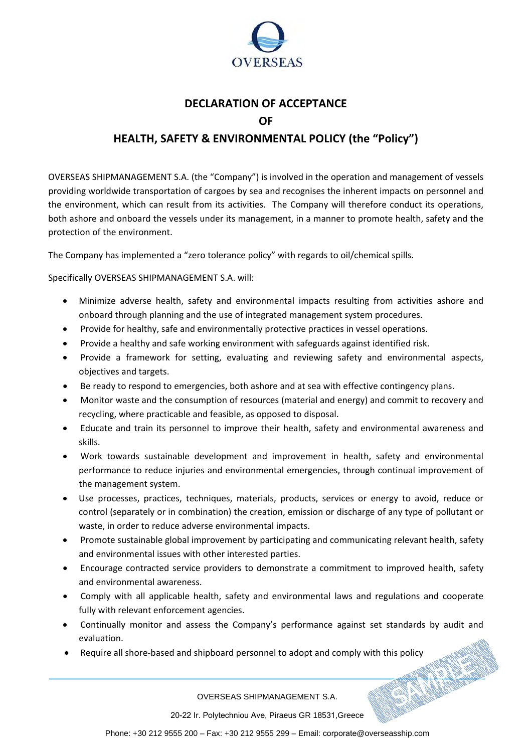

## **DECLARATION OF ACCEPTANCE OF HEALTH, SAFETY & ENVIRONMENTAL POLICY (the "Policy")**

OVERSEAS SHIPMANAGEMENT S.A. (the "Company") is involved in the operation and management of vessels providing worldwide transportation of cargoes by sea and recognises the inherent impacts on personnel and the environment, which can result from its activities. The Company will therefore conduct its operations, both ashore and onboard the vessels under its management, in a manner to promote health, safety and the protection of the environment.

The Company has implemented a "zero tolerance policy" with regards to oil/chemical spills.

Specifically OVERSEAS SHIPMANAGEMENT S.A. will:

- Minimize adverse health, safety and environmental impacts resulting from activities ashore and onboard through planning and the use of integrated management system procedures.
- Provide for healthy, safe and environmentally protective practices in vessel operations.
- Provide a healthy and safe working environment with safeguards against identified risk.
- Provide a framework for setting, evaluating and reviewing safety and environmental aspects, objectives and targets.
- Be ready to respond to emergencies, both ashore and at sea with effective contingency plans.
- Monitor waste and the consumption of resources (material and energy) and commit to recovery and recycling, where practicable and feasible, as opposed to disposal.
- Educate and train its personnel to improve their health, safety and environmental awareness and skills.
- Work towards sustainable development and improvement in health, safety and environmental performance to reduce injuries and environmental emergencies, through continual improvement of the management system.
- Use processes, practices, techniques, materials, products, services or energy to avoid, reduce or control (separately or in combination) the creation, emission or discharge of any type of pollutant or waste, in order to reduce adverse environmental impacts.
- Promote sustainable global improvement by participating and communicating relevant health, safety and environmental issues with other interested parties.
- Encourage contracted service providers to demonstrate a commitment to improved health, safety and environmental awareness.
- Comply with all applicable health, safety and environmental laws and regulations and cooperate fully with relevant enforcement agencies.
- Continually monitor and assess the Company's performance against set standards by audit and evaluation.
- Require all shore-based and shipboard personnel to adopt and comply with this policy<br>OVERSEAS SHIPMAN COMPLETED AND RESOLUTION OF THE SAME OVERSEAS SHIPMAN COMPLETED AND RESOLUTION OF THE SAME OF THE SAME OF THE SAME OF TH

OVERSEAS SHIPMANAGEMENT S.A.

20-22 Ir. Polytechniou Ave, Piraeus GR 18531,Greece

Phone: +30 212 9555 200 – Fax: +30 212 9555 299 – Email: corporate@overseasship.com